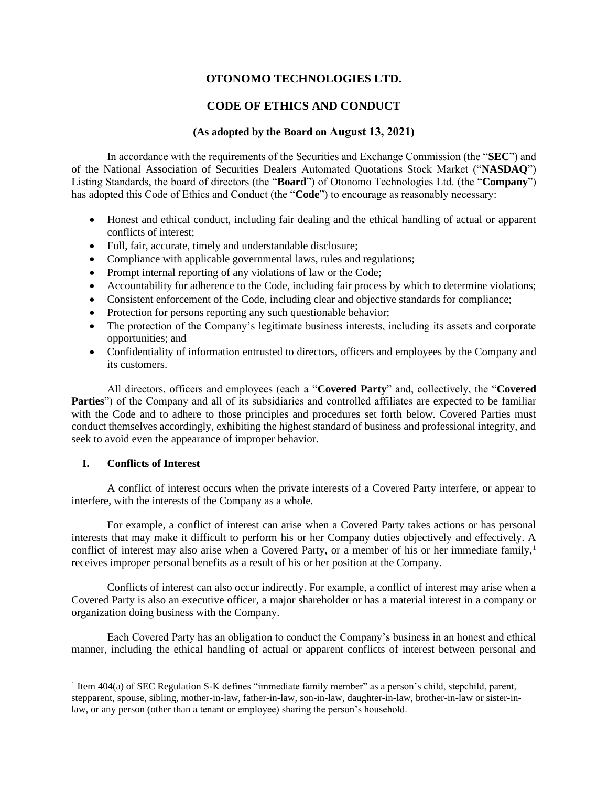# **OTONOMO TECHNOLOGIES LTD.**

# **CODE OF ETHICS AND CONDUCT**

# **(As adopted by the Board on August 13, 2021)**

In accordance with the requirements of the Securities and Exchange Commission (the "**SEC**") and of the National Association of Securities Dealers Automated Quotations Stock Market ("**NASDAQ**") Listing Standards, the board of directors (the "**Board**") of Otonomo Technologies Ltd. (the "**Company**") has adopted this Code of Ethics and Conduct (the "**Code**") to encourage as reasonably necessary:

- Honest and ethical conduct, including fair dealing and the ethical handling of actual or apparent conflicts of interest;
- Full, fair, accurate, timely and understandable disclosure;
- Compliance with applicable governmental laws, rules and regulations;
- Prompt internal reporting of any violations of law or the Code;
- Accountability for adherence to the Code, including fair process by which to determine violations;
- Consistent enforcement of the Code, including clear and objective standards for compliance;
- Protection for persons reporting any such questionable behavior;
- The protection of the Company's legitimate business interests, including its assets and corporate opportunities; and
- Confidentiality of information entrusted to directors, officers and employees by the Company and its customers.

All directors, officers and employees (each a "**Covered Party**" and, collectively, the "**Covered Parties**") of the Company and all of its subsidiaries and controlled affiliates are expected to be familiar with the Code and to adhere to those principles and procedures set forth below. Covered Parties must conduct themselves accordingly, exhibiting the highest standard of business and professional integrity, and seek to avoid even the appearance of improper behavior.

# **I. Conflicts of Interest**

A conflict of interest occurs when the private interests of a Covered Party interfere, or appear to interfere, with the interests of the Company as a whole.

For example, a conflict of interest can arise when a Covered Party takes actions or has personal interests that may make it difficult to perform his or her Company duties objectively and effectively. A conflict of interest may also arise when a Covered Party, or a member of his or her immediate family,<sup>1</sup> receives improper personal benefits as a result of his or her position at the Company.

Conflicts of interest can also occur indirectly. For example, a conflict of interest may arise when a Covered Party is also an executive officer, a major shareholder or has a material interest in a company or organization doing business with the Company.

Each Covered Party has an obligation to conduct the Company's business in an honest and ethical manner, including the ethical handling of actual or apparent conflicts of interest between personal and

<sup>&</sup>lt;sup>1</sup> Item 404(a) of SEC Regulation S-K defines "immediate family member" as a person's child, stepchild, parent, stepparent, spouse, sibling, mother-in-law, father-in-law, son-in-law, daughter-in-law, brother-in-law or sister-inlaw, or any person (other than a tenant or employee) sharing the person's household.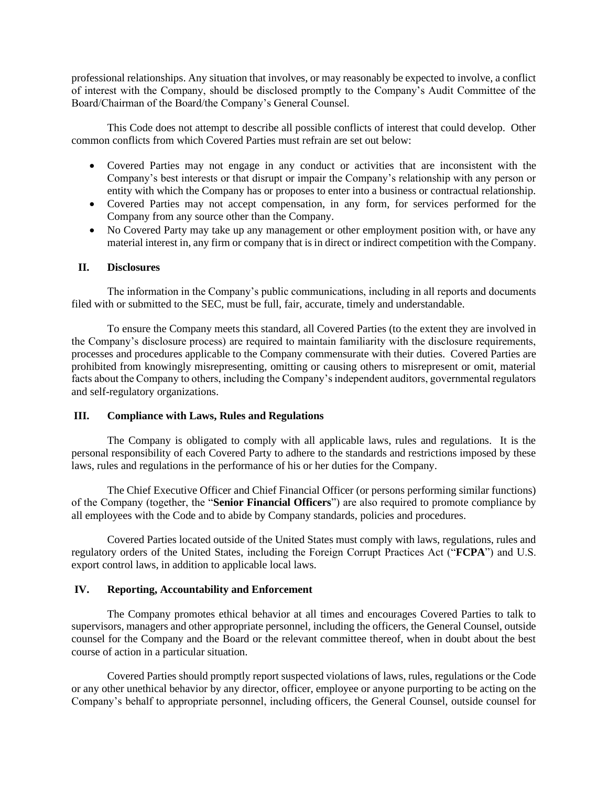professional relationships. Any situation that involves, or may reasonably be expected to involve, a conflict of interest with the Company, should be disclosed promptly to the Company's Audit Committee of the Board/Chairman of the Board/the Company's General Counsel.

This Code does not attempt to describe all possible conflicts of interest that could develop. Other common conflicts from which Covered Parties must refrain are set out below:

- Covered Parties may not engage in any conduct or activities that are inconsistent with the Company's best interests or that disrupt or impair the Company's relationship with any person or entity with which the Company has or proposes to enter into a business or contractual relationship.
- Covered Parties may not accept compensation, in any form, for services performed for the Company from any source other than the Company.
- No Covered Party may take up any management or other employment position with, or have any material interest in, any firm or company that is in direct or indirect competition with the Company.

## **II. Disclosures**

The information in the Company's public communications, including in all reports and documents filed with or submitted to the SEC, must be full, fair, accurate, timely and understandable.

To ensure the Company meets this standard, all Covered Parties (to the extent they are involved in the Company's disclosure process) are required to maintain familiarity with the disclosure requirements, processes and procedures applicable to the Company commensurate with their duties. Covered Parties are prohibited from knowingly misrepresenting, omitting or causing others to misrepresent or omit, material facts about the Company to others, including the Company's independent auditors, governmental regulators and self-regulatory organizations.

# **III. Compliance with Laws, Rules and Regulations**

The Company is obligated to comply with all applicable laws, rules and regulations. It is the personal responsibility of each Covered Party to adhere to the standards and restrictions imposed by these laws, rules and regulations in the performance of his or her duties for the Company.

The Chief Executive Officer and Chief Financial Officer (or persons performing similar functions) of the Company (together, the "**Senior Financial Officers**") are also required to promote compliance by all employees with the Code and to abide by Company standards, policies and procedures.

Covered Parties located outside of the United States must comply with laws, regulations, rules and regulatory orders of the United States, including the Foreign Corrupt Practices Act ("**FCPA**") and U.S. export control laws, in addition to applicable local laws.

# **IV. Reporting, Accountability and Enforcement**

The Company promotes ethical behavior at all times and encourages Covered Parties to talk to supervisors, managers and other appropriate personnel*,* including the officers, the General Counsel, outside counsel for the Company and the Board or the relevant committee thereof, when in doubt about the best course of action in a particular situation.

Covered Parties should promptly report suspected violations of laws, rules, regulations or the Code or any other unethical behavior by any director, officer, employee or anyone purporting to be acting on the Company's behalf to appropriate personnel, including officers, the General Counsel, outside counsel for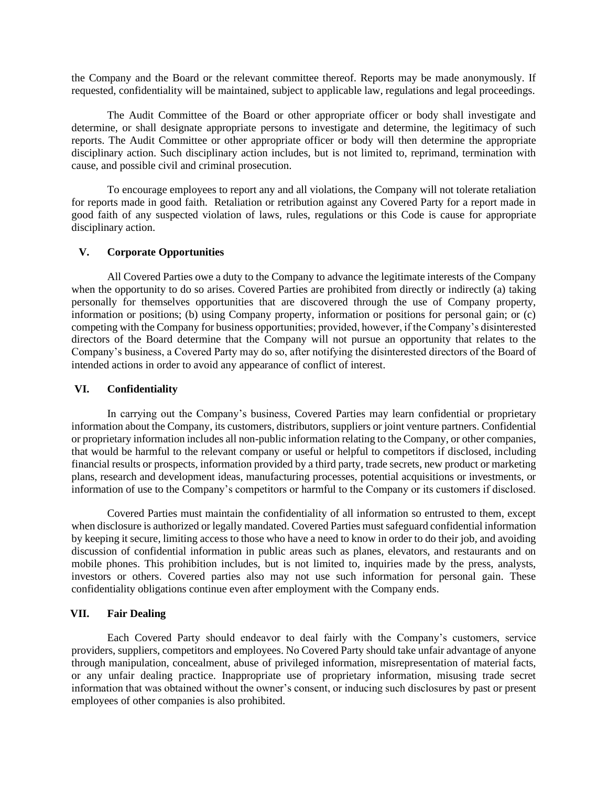the Company and the Board or the relevant committee thereof. Reports may be made anonymously. If requested, confidentiality will be maintained, subject to applicable law, regulations and legal proceedings.

The Audit Committee of the Board or other appropriate officer or body shall investigate and determine, or shall designate appropriate persons to investigate and determine, the legitimacy of such reports. The Audit Committee or other appropriate officer or body will then determine the appropriate disciplinary action. Such disciplinary action includes, but is not limited to, reprimand, termination with cause, and possible civil and criminal prosecution.

To encourage employees to report any and all violations, the Company will not tolerate retaliation for reports made in good faith. Retaliation or retribution against any Covered Party for a report made in good faith of any suspected violation of laws, rules, regulations or this Code is cause for appropriate disciplinary action.

## **V. Corporate Opportunities**

All Covered Parties owe a duty to the Company to advance the legitimate interests of the Company when the opportunity to do so arises. Covered Parties are prohibited from directly or indirectly (a) taking personally for themselves opportunities that are discovered through the use of Company property, information or positions; (b) using Company property, information or positions for personal gain; or (c) competing with the Company for business opportunities; provided, however, if the Company's disinterested directors of the Board determine that the Company will not pursue an opportunity that relates to the Company's business, a Covered Party may do so, after notifying the disinterested directors of the Board of intended actions in order to avoid any appearance of conflict of interest.

## **VI. Confidentiality**

In carrying out the Company's business, Covered Parties may learn confidential or proprietary information about the Company, its customers, distributors, suppliers or joint venture partners. Confidential or proprietary information includes all non-public information relating to the Company, or other companies, that would be harmful to the relevant company or useful or helpful to competitors if disclosed, including financial results or prospects, information provided by a third party, trade secrets, new product or marketing plans, research and development ideas, manufacturing processes, potential acquisitions or investments, or information of use to the Company's competitors or harmful to the Company or its customers if disclosed.

Covered Parties must maintain the confidentiality of all information so entrusted to them, except when disclosure is authorized or legally mandated. Covered Parties must safeguard confidential information by keeping it secure, limiting access to those who have a need to know in order to do their job, and avoiding discussion of confidential information in public areas such as planes, elevators, and restaurants and on mobile phones. This prohibition includes, but is not limited to, inquiries made by the press, analysts, investors or others. Covered parties also may not use such information for personal gain. These confidentiality obligations continue even after employment with the Company ends.

# **VII. Fair Dealing**

Each Covered Party should endeavor to deal fairly with the Company's customers, service providers, suppliers, competitors and employees. No Covered Party should take unfair advantage of anyone through manipulation, concealment, abuse of privileged information, misrepresentation of material facts, or any unfair dealing practice. Inappropriate use of proprietary information, misusing trade secret information that was obtained without the owner's consent, or inducing such disclosures by past or present employees of other companies is also prohibited.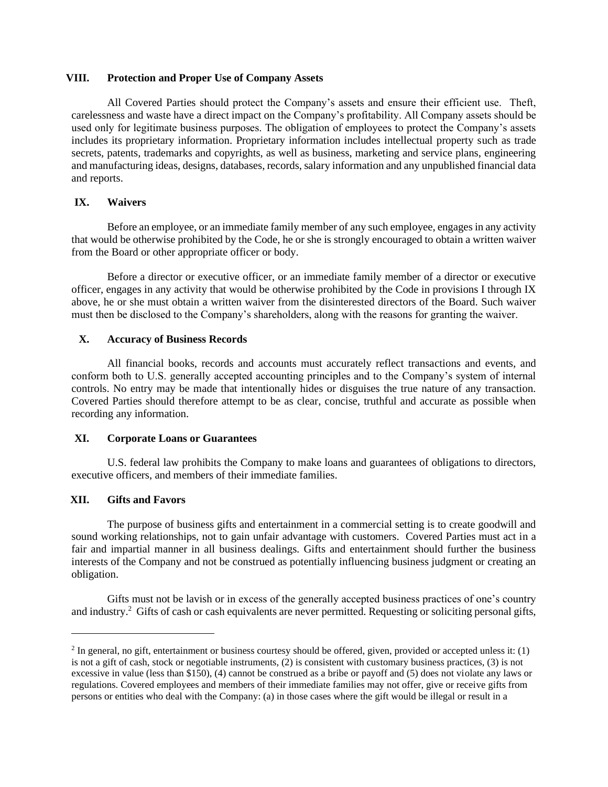### **VIII. Protection and Proper Use of Company Assets**

All Covered Parties should protect the Company's assets and ensure their efficient use. Theft, carelessness and waste have a direct impact on the Company's profitability. All Company assets should be used only for legitimate business purposes. The obligation of employees to protect the Company's assets includes its proprietary information. Proprietary information includes intellectual property such as trade secrets, patents, trademarks and copyrights, as well as business, marketing and service plans, engineering and manufacturing ideas, designs, databases, records, salary information and any unpublished financial data and reports.

# **IX. Waivers**

Before an employee, or an immediate family member of any such employee, engages in any activity that would be otherwise prohibited by the Code, he or she is strongly encouraged to obtain a written waiver from the Board or other appropriate officer or body.

Before a director or executive officer, or an immediate family member of a director or executive officer, engages in any activity that would be otherwise prohibited by the Code in provisions I through IX above, he or she must obtain a written waiver from the disinterested directors of the Board. Such waiver must then be disclosed to the Company's shareholders, along with the reasons for granting the waiver.

## **X. Accuracy of Business Records**

All financial books, records and accounts must accurately reflect transactions and events, and conform both to U.S. generally accepted accounting principles and to the Company's system of internal controls. No entry may be made that intentionally hides or disguises the true nature of any transaction. Covered Parties should therefore attempt to be as clear, concise, truthful and accurate as possible when recording any information.

## **XI. Corporate Loans or Guarantees**

U.S. federal law prohibits the Company to make loans and guarantees of obligations to directors, executive officers, and members of their immediate families.

## **XII. Gifts and Favors**

The purpose of business gifts and entertainment in a commercial setting is to create goodwill and sound working relationships, not to gain unfair advantage with customers. Covered Parties must act in a fair and impartial manner in all business dealings. Gifts and entertainment should further the business interests of the Company and not be construed as potentially influencing business judgment or creating an obligation.

Gifts must not be lavish or in excess of the generally accepted business practices of one's country and industry.<sup>2</sup> Gifts of cash or cash equivalents are never permitted. Requesting or soliciting personal gifts,

 $2$  In general, no gift, entertainment or business courtesy should be offered, given, provided or accepted unless it: (1) is not a gift of cash, stock or negotiable instruments, (2) is consistent with customary business practices, (3) is not excessive in value (less than \$150), (4) cannot be construed as a bribe or payoff and (5) does not violate any laws or regulations. Covered employees and members of their immediate families may not offer, give or receive gifts from persons or entities who deal with the Company: (a) in those cases where the gift would be illegal or result in a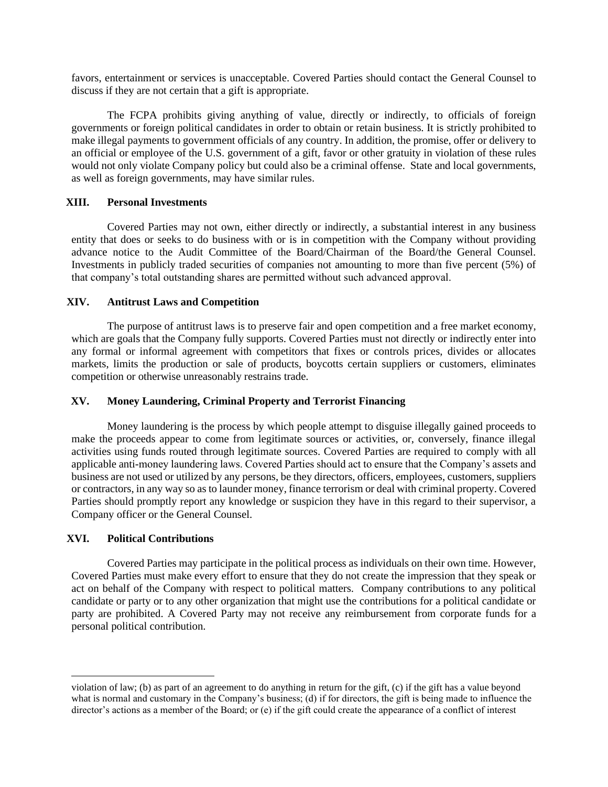favors, entertainment or services is unacceptable. Covered Parties should contact the General Counsel to discuss if they are not certain that a gift is appropriate.

The FCPA prohibits giving anything of value, directly or indirectly, to officials of foreign governments or foreign political candidates in order to obtain or retain business. It is strictly prohibited to make illegal payments to government officials of any country. In addition, the promise, offer or delivery to an official or employee of the U.S. government of a gift, favor or other gratuity in violation of these rules would not only violate Company policy but could also be a criminal offense. State and local governments, as well as foreign governments, may have similar rules.

## **XIII. Personal Investments**

Covered Parties may not own, either directly or indirectly, a substantial interest in any business entity that does or seeks to do business with or is in competition with the Company without providing advance notice to the Audit Committee of the Board/Chairman of the Board/the General Counsel. Investments in publicly traded securities of companies not amounting to more than five percent (5%) of that company's total outstanding shares are permitted without such advanced approval.

## **XIV. Antitrust Laws and Competition**

The purpose of antitrust laws is to preserve fair and open competition and a free market economy, which are goals that the Company fully supports. Covered Parties must not directly or indirectly enter into any formal or informal agreement with competitors that fixes or controls prices, divides or allocates markets, limits the production or sale of products, boycotts certain suppliers or customers, eliminates competition or otherwise unreasonably restrains trade.

#### **XV. Money Laundering, Criminal Property and Terrorist Financing**

Money laundering is the process by which people attempt to disguise illegally gained proceeds to make the proceeds appear to come from legitimate sources or activities, or, conversely, finance illegal activities using funds routed through legitimate sources. Covered Parties are required to comply with all applicable anti-money laundering laws. Covered Parties should act to ensure that the Company's assets and business are not used or utilized by any persons, be they directors, officers, employees, customers, suppliers or contractors, in any way so as to launder money, finance terrorism or deal with criminal property. Covered Parties should promptly report any knowledge or suspicion they have in this regard to their supervisor, a Company officer or the General Counsel.

#### **XVI. Political Contributions**

Covered Parties may participate in the political process as individuals on their own time. However, Covered Parties must make every effort to ensure that they do not create the impression that they speak or act on behalf of the Company with respect to political matters. Company contributions to any political candidate or party or to any other organization that might use the contributions for a political candidate or party are prohibited. A Covered Party may not receive any reimbursement from corporate funds for a personal political contribution.

violation of law; (b) as part of an agreement to do anything in return for the gift, (c) if the gift has a value beyond what is normal and customary in the Company's business; (d) if for directors, the gift is being made to influence the director's actions as a member of the Board; or (e) if the gift could create the appearance of a conflict of interest